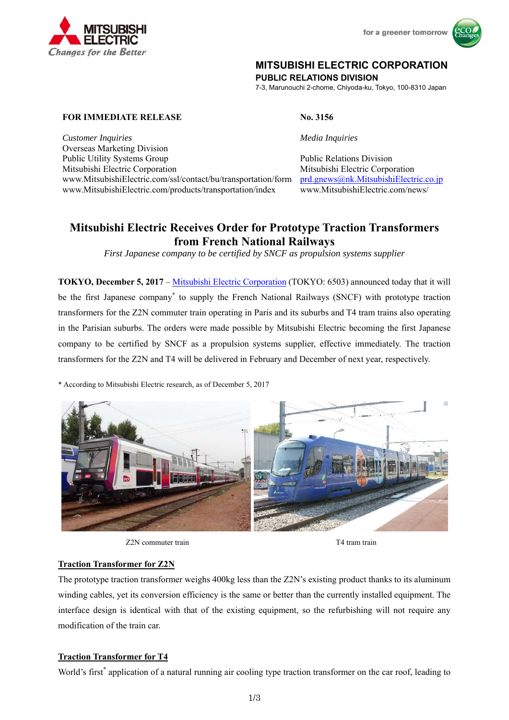



## **MITSUBISHI ELECTRIC CORPORATION**

**PUBLIC RELATIONS DIVISION** 

7-3, Marunouchi 2-chome, Chiyoda-ku, Tokyo, 100-8310 Japan

#### **FOR IMMEDIATE RELEASE No. 3156**

*Customer Inquiries Media Inquiries*  Overseas Marketing Division Public Utility Systems Group **Public Relations Division** Mitsubishi Electric Corporation Mitsubishi Electric Corporation

www.MitsubishiElectric.com/ssl/contact/bu/transportation/form prd.gnews@nk.MitsubishiElectric.co.jp www.MitsubishiElectric.com/products/transportation/index www.MitsubishiElectric.com/news/

# **Mitsubishi Electric Receives Order for Prototype Traction Transformers from French National Railways**

*First Japanese company to be certified by SNCF as propulsion systems supplier* 

**TOKYO, December 5, 2017** – Mitsubishi Electric Corporation (TOKYO: 6503) announced today that it will be the first Japanese company<sup>\*</sup> to supply the French National Railways (SNCF) with prototype traction transformers for the Z2N commuter train operating in Paris and its suburbs and T4 tram trains also operating in the Parisian suburbs. The orders were made possible by Mitsubishi Electric becoming the first Japanese company to be certified by SNCF as a propulsion systems supplier, effective immediately. The traction transformers for the Z2N and T4 will be delivered in February and December of next year, respectively.

\* According to Mitsubishi Electric research, as of December 5, 2017



Z2N commuter train T4 tram train

#### **Traction Transformer for Z2N**

The prototype traction transformer weighs 400kg less than the Z2N's existing product thanks to its aluminum winding cables, yet its conversion efficiency is the same or better than the currently installed equipment. The interface design is identical with that of the existing equipment, so the refurbishing will not require any modification of the train car.

#### **Traction Transformer for T4**

World's first<sup>\*</sup> application of a natural running air cooling type traction transformer on the car roof, leading to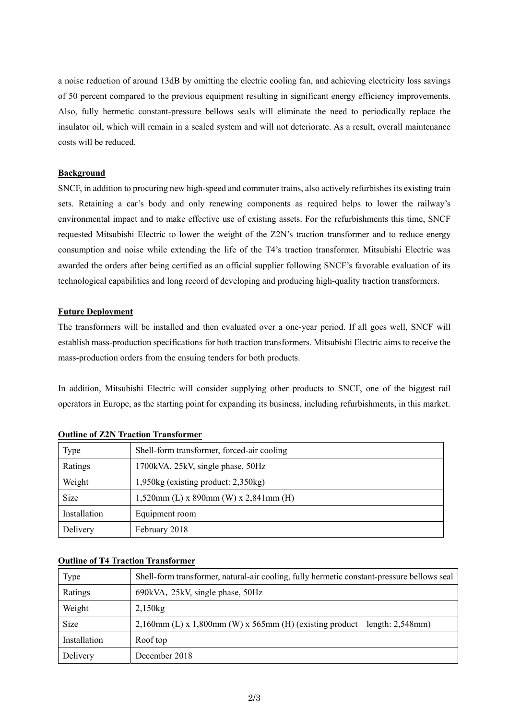a noise reduction of around 13dB by omitting the electric cooling fan, and achieving electricity loss savings of 50 percent compared to the previous equipment resulting in significant energy efficiency improvements. Also, fully hermetic constant-pressure bellows seals will eliminate the need to periodically replace the insulator oil, which will remain in a sealed system and will not deteriorate. As a result, overall maintenance costs will be reduced.

#### **Background**

SNCF, in addition to procuring new high-speed and commuter trains, also actively refurbishes its existing train sets. Retaining a car's body and only renewing components as required helps to lower the railway's environmental impact and to make effective use of existing assets. For the refurbishments this time, SNCF requested Mitsubishi Electric to lower the weight of the Z2N's traction transformer and to reduce energy consumption and noise while extending the life of the T4's traction transformer. Mitsubishi Electric was awarded the orders after being certified as an official supplier following SNCF's favorable evaluation of its technological capabilities and long record of developing and producing high-quality traction transformers.

#### **Future Deployment**

The transformers will be installed and then evaluated over a one-year period. If all goes well, SNCF will establish mass-production specifications for both traction transformers. Mitsubishi Electric aims to receive the mass-production orders from the ensuing tenders for both products.

In addition, Mitsubishi Electric will consider supplying other products to SNCF, one of the biggest rail operators in Europe, as the starting point for expanding its business, including refurbishments, in this market.

| Type         | Shell-form transformer, forced-air cooling             |
|--------------|--------------------------------------------------------|
| Ratings      | 1700kVA, 25kV, single phase, 50Hz                      |
| Weight       | $1,950\text{kg}$ (existing product: $2,350\text{kg}$ ) |
| Size         | $1,520$ mm (L) x 890mm (W) x 2,841mm (H)               |
| Installation | Equipment room                                         |
| Delivery     | February 2018                                          |

**Outline of Z2N Traction Transformer** 

### **Outline of T4 Traction Transformer**

| Type         | Shell-form transformer, natural-air cooling, fully hermetic constant-pressure bellows seal |
|--------------|--------------------------------------------------------------------------------------------|
| Ratings      | 690kVA, 25kV, single phase, 50Hz                                                           |
| Weight       | 2,150kg                                                                                    |
| <b>Size</b>  | $2,160$ mm (L) x 1,800mm (W) x 565mm (H) (existing product length: 2,548mm)                |
| Installation | Roof top                                                                                   |
| Delivery     | December 2018                                                                              |